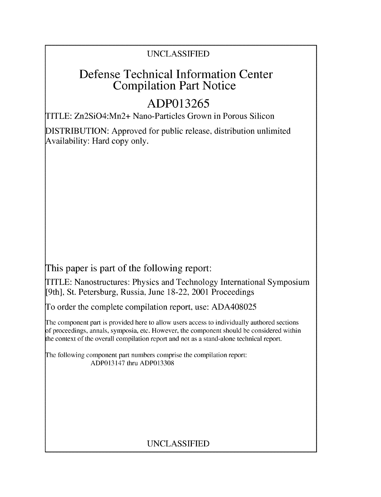## UNCLASSIFIED

# Defense Technical Information Center Compilation Part Notice

# **ADP013265**

TITLE: Zn2SiO4:Mn2+ Nano-Particles Grown in Porous Silicon

DISTRIBUTION: Approved for public release, distribution unlimited Availability: Hard copy only.

This paper is part of the following report:

TITLE: Nanostructures: Physics and Technology International Symposium [9th], St. Petersburg, Russia, June 18-22, 2001 Proceedings

To order the complete compilation report, use: ADA408025

The component part is provided here to allow users access to individually authored sections f proceedings, annals, symposia, etc. However, the component should be considered within the context of the overall compilation report and not as a stand-alone technical report.

The following component part numbers comprise the compilation report: ADP013147 thru ADP013308

## UNCLASSIFIED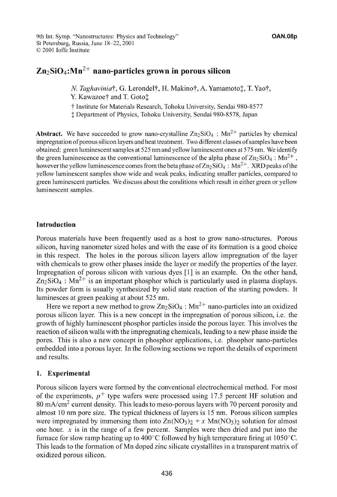9th Int. Symp. "Nanostructures: Physics and Technology" **OAN.08p** St Petersburg, Russia, June 18-22, 2001 **(0** 2001 loffe Institute

### $\text{Zn}_2 \text{SiO}_4$ : $\text{Mn}^{2+}$  nano-particles grown in porous silicon

*N. Taghavinia*†, G. Lerondel†, H. Makino†, A. Yamamoto‡, T. Yao†, Y. Kawazoe† and T. Goto<sup>+</sup>

**t** Institute for Materials Research, Tohoku University, Sendai 980-8577

**1** Department of Physics, Tohoku University, Sendai 980-8578, Japan

Abstract. We have succeeded to grow nano-crystalline  $Zn_2SiO_4$ :  $Mn^{2+}$  particles by chemical impregnation of porous silicon layers and heat treatment. Two different classes of samples have been obtained: green luminescent samples at 525 nm and yellow luminescent ones at 575 nm. We identify the green luminescence as the conventional luminescence of the alpha phase of  $Zn_2SiO_4$ :  $Mn^{2+}$ , however the yellow luminescence comes from the beta phase of  $Zn_2\overline{S}iO_4$ :  $Mn^{2+}$ . XRD peaks of the yellow luminescent samples show wide and weak peaks, indicating smaller particles, compared to green luminescent particles. We discuss about the conditions which result in either green or yellow luminescent samples.

### Introduction

Porous materials have been frequently used as a host to grow nano-structures. Porous silicon, having nanometer sized holes and with the ease of its formation is a good choice in this respect. The holes in the porous silicon layers allow impregnation of the layer with chemicals to grow other phases inside the layer or modify the properties of the layer. Impregnation of porous silicon with various dyes **[1]** is an example. On the other hand,  $Zn_2SiO_4$ :  $Mn^{2+}$  is an important phosphor which is particularly used in plasma displays. Its powder form is usually synthesized by solid state reaction of the starting powders. It luminesces at green peaking at about 525 nm.

Here we report a new method to grow  $Zn_2SiO_4$ :  $Mn^{2+}$  nano-particles into an oxidized porous silicon layer. This is a new concept in the impregnation of porous silicon, i.e. the growth of highly luminescent phosphor particles inside the porous layer. This involves the reaction of silicon walls with the impregnating chemicals, leading to a new phase inside the pores. This is also a new concept in phosphor applications, i.e. phsophor nano-particles embedded into a porous layer. In the following sections we report the details of experiment and results.

### 1. Experimental

Porous silicon layers were formed by the conventional electrochemical method. For most of the experiments,  $p^+$  type wafers were processed using 17.5 percent HF solution and 80 mA/cm<sup>2</sup> current density. This leads to meso-porous layers with 70 percent porosity and almost 10 nm pore size. The typical thickness of layers is 15 nm. Porous silicon samples were impregnated by immersing them into  $Zn(NO_3)_2 + x Mn(NO_3)_2$  solution for almost one hour. x is in the range of a few percent. Samples were then dried and put into the furnace for slow ramp heating up to  $400^{\circ}$ C followed by high temperature firing at 1050 $^{\circ}$ C. This leads to the formation of Mn doped zinc silicate crystallites in a transparent matrix of oxidized porous silicon.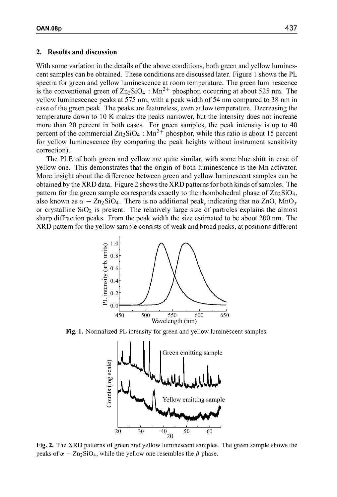#### 2. Results and discussion

With some variation in the details of the above conditions, both green and yellow luminescent samples can be obtained. These conditions are discussed later. Figure 1 shows the PL spectra for green and yellow luminescence at room temperature. The green luminescence is the conventional green of  $Zn_2SiO<sub>4</sub>$ :  $Mn^{2+}$  phosphor, occurring at about 525 nm. The yellow luminescence peaks at 575 nm, with a peak width of 54 nm compared to 38 nm in case of the green peak. The peaks are featureless, even at low temperature. Decreasing the temperature down to 10 K makes the peaks narrower, but the intensity does not increase more than 20 percent in both cases. For green samples, the peak intensity is up to 40 percent of the commercial  $\text{Zn}_2\text{SiO}_4$ :  $\text{Mn}^2$ + phosphor, while this ratio is about 15 percent for yellow luminescence (by comparing the peak heights without instrument sensitivity correction).

The PLE of both green and yellow are quite similar, with some blue shift in case of yellow one. This demonstrates that the origin of both luminescence is the Mn activator. More insight about the difference between green and yellow luminescent samples can be obtained by the XRD data. Figure 2 shows the XRD patterns for both kinds of samples. The pattern for the green sample corresponds exactly to the rhombohedral phase of  $Zn_2SiO<sub>4</sub>$ , also known as  $\alpha$  – Zn<sub>2</sub>SiO<sub>4</sub>. There is no additional peak, indicating that no ZnO, MnO<sub>x</sub> or crystalline  $SiO<sub>2</sub>$  is present. The relatively large size of particles explains the almost sharp diffraction peaks. From the peak width the size estimated to be about 200 nm. The XRD pattern for the yellow sample consists of weak and broad peaks, at positions different



Fig. 1. Normalized PL intensity for green and yellow luminescent samples.



Fig. 2. The XRD patterns of green and yellow luminescent samples. The green sample shows the peaks of  $\alpha$  - Zn<sub>2</sub>SiO<sub>4</sub>, while the yellow one resembles the  $\beta$  phase.